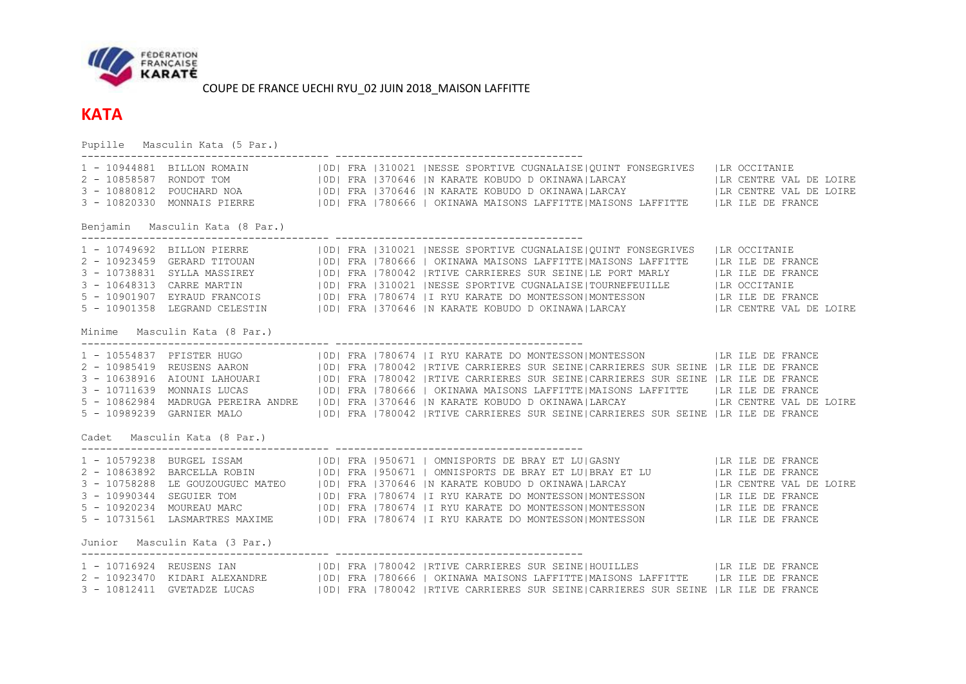

## **KATA**

Pupille Masculin Kata (5 Par.) ---------------------------------------- ---------------------------------------- 1 - 10944881 BILLON ROMAIN |0D| FRA |310021 |NESSE SPORTIVE CUGNALAISE|QUINT FONSEGRIVES |LR OCCITANIE 2 - 10858587 RONDOT TOM | | |0D| FRA |370646 |N KARATE KOBUDO D OKINAWA|LARCAY | |LR CENTRE VAL DE LOIRE 3 - 10880812 POUCHARD NOA | |0D| FRA |370646 |N KARATE KOBUDO D OKINAWA|LARCAY | |LR CENTRE VAL DE LOIRE 3 - 10820330 MONNAIS PIERRE |0D| FRA |780666 | OKINAWA MAISONS LAFFITTE|MAISONS LAFFITTE |LR ILE DE FRANCE Benjamin Masculin Kata (8 Par.) ---------------------------------------- ---------------------------------------- 1 - 10749692 BILLON PIERRE |0D| FRA |310021 |NESSE SPORTIVE CUGNALAISE|QUINT FONSEGRIVES |LR OCCITANIE 2 - 10923459 GERARD TITOUAN |0D| FRA |780666 | OKINAWA MAISONS LAFFITTE|MAISONS LAFFITTE |LR ILE DE FRANCE 3 - 10738831 SYLLA MASSIREY |0D| FRA |780042 |RTIVE CARRIERES SUR SEINE|LE PORT MARLY |LR ILE DE FRANCE 3 - 10648313 CARRE MARTIN |0D| FRA |310021 |NESSE SPORTIVE CUGNALAISE|TOURNEFEUILLE |LR OCCITANIE 5 - 10901907 EYRAUD FRANCOIS |0D| FRA |780674 |I RYU KARATE DO MONTESSON|MONTESSON |LR ILE DE FRANCE 5 - 10901358 LEGRAND CELESTIN |0D| FRA |370646 |N KARATE KOBUDO D OKINAWA|LARCAY |LR CENTRE VAL DE LOIRE Minime Masculin Kata (8 Par.) ---------------------------------------- ---------------------------------------- 1 - 10554837 PFISTER HUGO |0D| FRA |780674 |I RYU KARATE DO MONTESSON|MONTESSON |LR ILE DE FRANCE 2 - 10985419 REUSENS AARON |0D| FRA |780042 |RTIVE CARRIERES SUR SEINE|CARRIERES SUR SEINE |LR ILE DE FRANCE 3 - 10638916 AIOUNI LAHOUARI |0D| FRA |780042 |RTIVE CARRIERES SUR SEINE|CARRIERES SUR SEINE |LR ILE DE FRANCE 3 - 10711639 MONNAIS LUCAS |0D| FRA |780666 | OKINAWA MAISONS LAFFITTE|MAISONS LAFFITTE |LR ILE DE FRANCE 5 - 10862984 MADRUGA PEREIRA ANDRE |0D| FRA |370646 |N KARATE KOBUDO D OKINAWA|LARCAY |LR CENTRE VAL DE LOIRE 5 - 10989239 GARNIER MALO |0D| FRA |780042 |RTIVE CARRIERES SUR SEINE|CARRIERES SUR SEINE |LR ILE DE FRANCE Cadet Masculin Kata (8 Par.) ---------------------------------------- ---------------------------------------- 1 - 10579238 BURGEL ISSAM | |0D| FRA |950671 | OMNISPORTS DE BRAY ET LU|GASNY | | |LR ILE DE FRANCE 2 - 10863892 BARCELLA ROBIN |0D| FRA |950671 | OMNISPORTS DE BRAY ET LU|BRAY ET LU |LR ILE DE FRANCE 3 - 10758288 LE GOUZOUGUEC MATEO |0D| FRA |370646 |N KARATE KOBUDO D OKINAWA|LARCAY |LR CENTRE VAL DE LOIRE 3 - 10990344 SEGUIER TOM |0D| FRA |780674 |I RYU KARATE DO MONTESSON|MONTESSON |LR ILE DE FRANCE 5 - 10920234 MOUREAU MARC |0D| FRA |780674 |I RYU KARATE DO MONTESSON|MONTESSON |LR ILE DE FRANCE 5 - 10731561 LASMARTRES MAXIME |0D| FRA |780674 |I RYU KARATE DO MONTESSON|MONTESSON |LR ILE DE FRANCE Junior Masculin Kata (3 Par.) ---------------------------------------- ---------------------------------------- 1 - 10716924 REUSENS IAN |0D| FRA |780042 |RTIVE CARRIERES SUR SEINE|HOUILLES |LR ILE DE FRANCE 2 - 10923470 KIDARI ALEXANDRE | |0D| FRA |780666 | OKINAWA MAISONS LAFFITTE|MAISONS LAFFITTE | |LR ILE DE FRANCE 3 - 10812411 GVETADZE LUCAS | 0D| FRA |780042 |RTIVE CARRIERES SUR SEINE|CARRIERES SUR SEINE |LR ILE DE FRANCE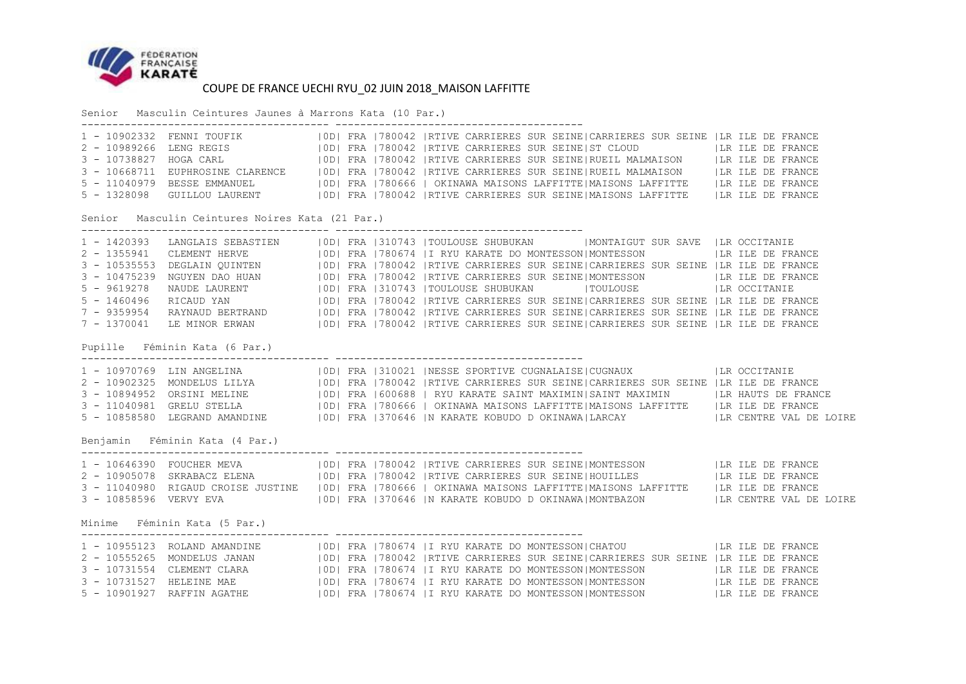

Senior Masculin Ceintures Jaunes à Marrons Kata (10 Par.)

|                                |                                                 |  | 1 - 10902332 FENNI TOUFIK   0D   FRA   780042   RTIVE CARRIERES SUR SEINE   CARRIERES SUR SEINE   LR ILE DE FRANCE<br>2 - 10989266 LENG REGIS   0D  FRA   780042   RTIVE CARRIERES SUR SEINE   ST CLOUD   LA ILE DE FRANCE<br>5 - 1328098 GUILLOU LAURENT   0D  FRA   780042   RTIVE CARRIERES SUR SEINE   MAISONS LAFFITTE   LR ILE DE FRANCE                                                                                                                                                                                                                                                                                                                                                                                                                          |
|--------------------------------|-------------------------------------------------|--|-------------------------------------------------------------------------------------------------------------------------------------------------------------------------------------------------------------------------------------------------------------------------------------------------------------------------------------------------------------------------------------------------------------------------------------------------------------------------------------------------------------------------------------------------------------------------------------------------------------------------------------------------------------------------------------------------------------------------------------------------------------------------|
|                                | Senior Masculin Ceintures Noires Kata (21 Par.) |  |                                                                                                                                                                                                                                                                                                                                                                                                                                                                                                                                                                                                                                                                                                                                                                         |
| $2 - 1355941$<br>$5 - 9619278$ |                                                 |  | 1 - 1420393 LANGLAIS SEBASTIEN   OD  FRA   310743   TOULOUSE SHUBUKAN   MONTAIGUT SUR SAVE   LR OCCITANIE<br>CLEMENT HERVE   0D  FRA   780674   I RYU KARATE DO MONTESSON MONTESSON   LR ILE DE FRANCE<br>3 - 10535553 DEGLAIN QUINTEN   0D  FRA   780042   RTIVE CARRIERES SUR SEINE  CARRIERES SUR SEINE   LR ILE DE FRANCE<br>3 - 10475239 NGUYEN DAO HUAN   0D  FRA   780042   RTIVE CARRIERES SUR SEINE   MONTESSON   LR ILE DE FRANCE<br>NAUDE LAURENT   0D  FRA   310743   TOULOUSE SHUBUKAN     TOULOUSE   LR OCCITANIE<br>5 - 1460496 RICAUD YAN (OD) FRA 1780042  RTIVE CARRIERES SUR SEINE CARRIERES SUR SEINE  LR ILE DE FRANCE<br>7 - 9359954 RAYNAUD BERTRAND (OD) FRA 1780042  RTIVE CARRIERES SUR SEINE CARRIERES SUR SEINE  LR ILE DE FRANCE<br>7 - 13 |
|                                | Pupille Féminin Kata (6 Par.)                   |  |                                                                                                                                                                                                                                                                                                                                                                                                                                                                                                                                                                                                                                                                                                                                                                         |
|                                |                                                 |  | 1 - 10970769 LIN ANGELINA (100) FRA 1310021 INESSE SPORTIVE CUGNALAISE CUGNAUX (IR OCCITANIE<br>2 - 10902325 MONDELUS LILYA (100) FRA 1780042 IRTIVE CARRIERES SUR SEINE CARRIERES SUR SEINE  LR ILE DE FRANCE<br>3 - 10894952 ORSIN<br>3 - 11040981 GRELU STELLA (IOD) FRA   780666   OKINAWA MAISONS LAFFITTE   MAISONS LAFFITTE   LR ILE DE FRANCE<br>5 - 10858580 LEGRAND AMANDINE   OD  FRA   370646   N KARATE KOBUDO D OKINAWA   LARCAY     LA CENTRE VAL DE LOIRE                                                                                                                                                                                                                                                                                               |
|                                | Benjamin Féminin Kata (4 Par.)                  |  |                                                                                                                                                                                                                                                                                                                                                                                                                                                                                                                                                                                                                                                                                                                                                                         |
|                                |                                                 |  | 3 - 11040980 RIGAUD CROISE JUSTINE   OD  FRA   780666   OKINAWA MAISONS LAFFITTE MAISONS LAFFITTE    LR ILE DE FRANCE<br>3 - 10858596 VERVY EVA   OD  FRA   370646   N KARATE KOBUDO D OKINAWA MONTBAZON   LR CENTRE VAL DE LOIRE                                                                                                                                                                                                                                                                                                                                                                                                                                                                                                                                       |
|                                | Minime Féminin Kata (5 Par.)                    |  |                                                                                                                                                                                                                                                                                                                                                                                                                                                                                                                                                                                                                                                                                                                                                                         |
|                                |                                                 |  | 1 - 10955123 ROLAND AMANDINE   0D  FRA   780674   I RYU KARATE DO MONTESSON  CHATOU     LR ILE DE FRANCE<br>2 - 10555265 MONDELUS JANAN (IODI FRA 1780042  RTIVE CARRIERES SUR SEINE CARRIERES SUR SEINE  LR ILE DE FRANCE<br>3 - 10731554 CLEMENT CLARA (IODI FRA 1780674  I RYU KARATE DO MONTESSON MONTESSON (ILR ILE DE FRANCE<br>3 - 107315<br>5 - 10901927 RAFFIN AGATHE   0D  FRA   780674   I RYU KARATE DO MONTESSON  MONTESSON     LR ILE DE FRANCE                                                                                                                                                                                                                                                                                                           |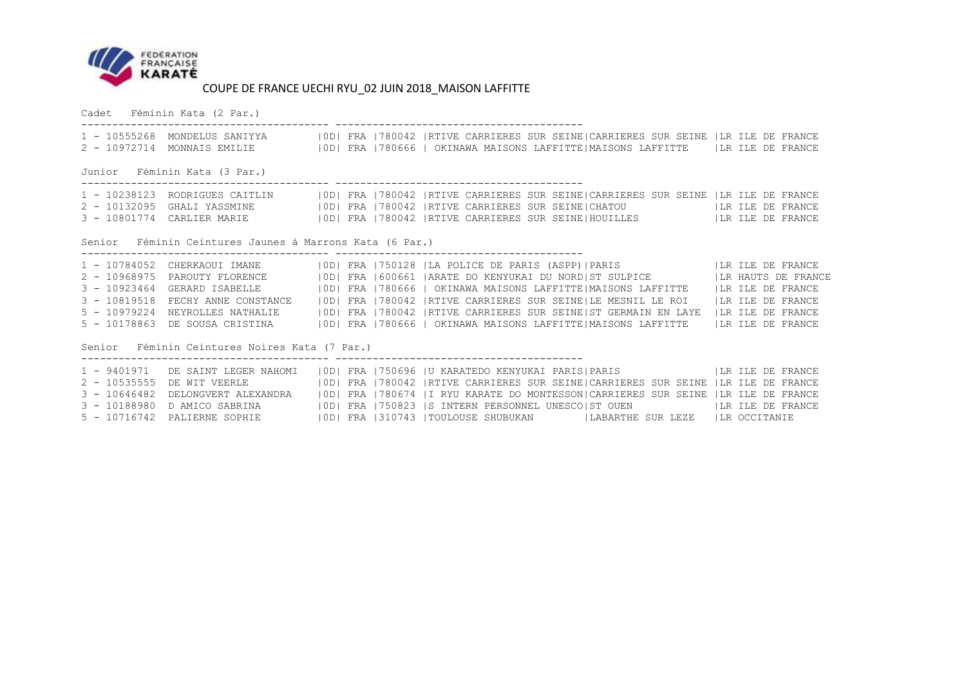

Cadet Féminin Kata (2 Par.)

|                              |                                                         |  |  |  | 1 - 10555268 MONDELUS SANIYYA   0D  FRA   780042   RTIVE CARRIERES SUR SEINE  CARRIERES SUR SEINE   LR ILE DE FRANCE<br>2 - 10972714 MONNAIS EMILIE (ID) FRA   780666   OKINAWA MAISONS LAFFITTE   MAISONS LAFFITTE (IR ILE DE FRANCE                                                                                                                                                                                                                                                                                                                                                                                                                                                                         |  |  |  |  |  |
|------------------------------|---------------------------------------------------------|--|--|--|---------------------------------------------------------------------------------------------------------------------------------------------------------------------------------------------------------------------------------------------------------------------------------------------------------------------------------------------------------------------------------------------------------------------------------------------------------------------------------------------------------------------------------------------------------------------------------------------------------------------------------------------------------------------------------------------------------------|--|--|--|--|--|
| Junior Féminin Kata (3 Par.) |                                                         |  |  |  |                                                                                                                                                                                                                                                                                                                                                                                                                                                                                                                                                                                                                                                                                                               |  |  |  |  |  |
|                              |                                                         |  |  |  | 1 - 10238123 RODRIGUES CAITLIN   OD  FRA   780042   RTIVE CARRIERES SUR SEINE  CARRIERES SUR SEINE   LR ILE DE FRANCE<br>3 - 10801774 CARLIER MARIE (IOD) FRA   780042   RTIVE CARRIERES SUR SEINE   HOUILLES   LA ILE DE FRANCE                                                                                                                                                                                                                                                                                                                                                                                                                                                                              |  |  |  |  |  |
|                              | Senior Féminin Ceintures Jaunes à Marrons Kata (6 Par.) |  |  |  |                                                                                                                                                                                                                                                                                                                                                                                                                                                                                                                                                                                                                                                                                                               |  |  |  |  |  |
|                              | Senior Féminin Ceintures Noires Kata (7 Par.)           |  |  |  | 1 - 10784052 CHERKAOUI IMANE   0D  FRA   750128   LA POLICE DE PARIS (ASPP)   PARIS     LA ILE DE FRANCE<br>2 - 10968975 PAROUTY FLORENCE   0D  FRA   600661   ARATE DO KENYUKAI DU NORD  ST SULPICE   LA HAUTS DE FRANCE<br>3 - 10923464 GERARD ISABELLE (IDI FRA 1780666   OKINAWA MAISONS LAFFITTE   MAISONS LAFFITTE (IR ILE DE FRANCE<br>3 - 10819518 FECHY ANNE CONSTANCE (IOD) FRA 1780042  RTIVE CARRIERES SUR SEINE LE MESNIL LE ROI (ILR ILE DE FRANCE<br>5 - 10979224 NEYROLLES NATHALIE   0D  FRA   780042   RTIVE CARRIERES SUR SEINE   ST GERMAIN EN LAYE   LR ILE DE FRANCE<br>5 - 10178863 DE SOUSA CRISTINA (IDI FRA 1780666   OKINAWA MAISONS LAFFITTE   MAISONS LAFFITTE (IR ILE DE FRANCE |  |  |  |  |  |
|                              | 2 - 10535555 DE WIT VEERLE                              |  |  |  | 1 - 9401971 DE SAINT LEGER NAHOMI   OD  FRA   750696   U KARATEDO KENYUKAI PARIS  PARIS   TARIS   LIR ILE DE FRANCE<br> OD  FRA  780042  RTIVE CARRIERES SUR SEINE CARRIERES SUR SEINE  LR ILE DE FRANCE<br>3 - 10646482 DELONGVERT ALEXANDRA (IDI FRA 1780674   IRYU KARATE DO MONTESSON CARRIERES SUR SEINE   LR ILE DE FRANCE<br>3 - 10188980 D AMICO SABRINA (IDI FRA 1750823 S INTERN PERSONNEL UNESCO ST OUEN THE ILE DE FRANCE<br>5 - 10716742 PALIERNE SOPHIE   0D   FRA   310743   TOULOUSE SHUBUKAN   LABARTHE SUR LEZE   LR OCCITANIE                                                                                                                                                              |  |  |  |  |  |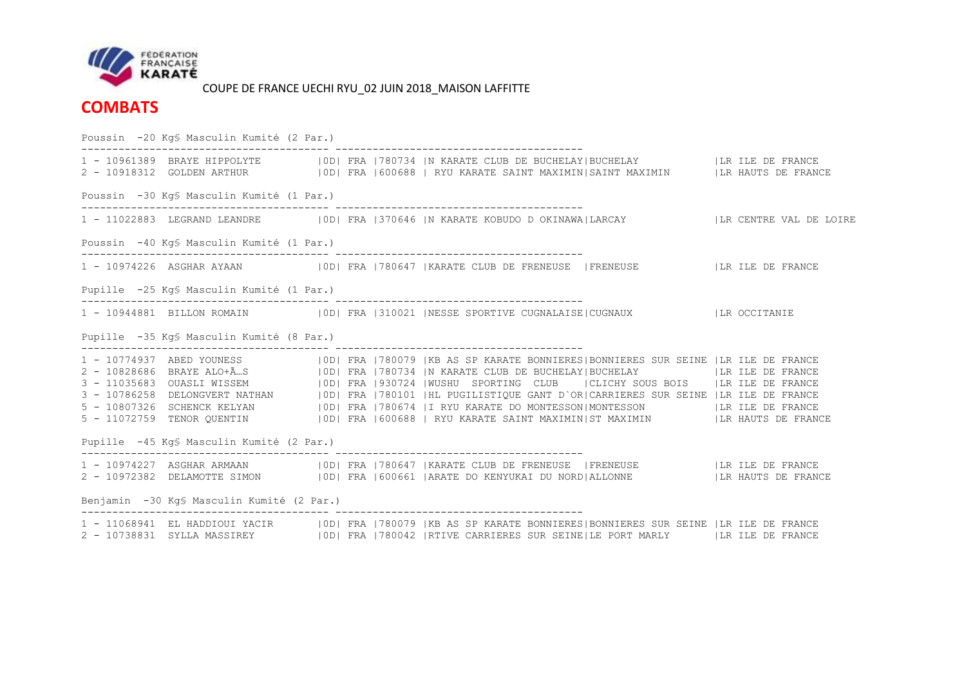

**COMBATS**

Poussin -20 Kg§ Masculin Kumité (2 Par.) ---------------------------------------- ---------------------------------------- 1 - 10961389 BRAYE HIPPOLYTE |0D| FRA |780734 |N KARATE CLUB DE BUCHELAY|BUCHELAY |LR ILE DE FRANCE 2 - 10918312 GOLDEN ARTHUR |0D| FRA |600688 | RYU KARATE SAINT MAXIMIN|SAINT MAXIMIN |LR HAUTS DE FRANCE Poussin -30 Kg§ Masculin Kumité (1 Par.) ---------------------------------------- ---------------------------------------- 1 - 11022883 LEGRAND LEANDRE |0D| FRA |370646 |N KARATE KOBUDO D OKINAWA|LARCAY |LR CENTRE VAL DE LOIRE Poussin -40 Kg§ Masculin Kumité (1 Par.)  $-$ 1 - 10974226 ASGHAR AYAAN |0D| FRA |780647 |KARATE CLUB DE FRENEUSE |FRENEUSE |LR ILE DE FRANCE Pupille -25 Kg§ Masculin Kumité (1 Par.) ---------------------------------------- ---------------------------------------- 1 - 10944881 BILLON ROMAIN |0D| FRA |310021 |NESSE SPORTIVE CUGNALAISE|CUGNAUX |LR OCCITANIE Pupille -35 Kg§ Masculin Kumité (8 Par.) ---------------------------------------- ---------------------------------------- 1 - 10774937 ABED YOUNESS |0D| FRA |780079 |KB AS SP KARATE BONNIERES|BONNIERES SUR SEINE |LR ILE DE FRANCE 2 - 10828686 BRAYE ALO+Ã…S |0D| FRA |780734 |N KARATE CLUB DE BUCHELAY|BUCHELAY |LR ILE DE FRANCE 3 - 11035683 OUASLI WISSEM |0D| FRA |930724 |WUSHU SPORTING CLUB |CLICHY SOUS BOIS |LR ILE DE FRANCE 3 - 10786258 DELONGVERT NATHAN |0D| FRA |780101 |HL PUGILISTIQUE GANT D`OR|CARRIERES SUR SEINE |LR ILE DE FRANCE 5 - 10807326 SCHENCK KELYAN |0D| FRA |780674 |I RYU KARATE DO MONTESSON|MONTESSON |LR ILE DE FRANCE 5 - 11072759 TENOR QUENTIN |0D| FRA |600688 | RYU KARATE SAINT MAXIMIN|ST MAXIMIN |LR HAUTS DE FRANCE Pupille -45 Kg§ Masculin Kumité (2 Par.)  $-$ 1 - 10974227 ASGHAR ARMAAN |0D| FRA |780647 |KARATE CLUB DE FRENEUSE |FRENEUSE |LR ILE DE FRANCE 2 - 10972382 DELAMOTTE SIMON |0D| FRA |600661 |ARATE DO KENYUKAI DU NORD|ALLONNE |LR HAUTS DE FRANCE Benjamin -30 Kg§ Masculin Kumité (2 Par.) ---------------------------------------- ---------------------------------------- 1 - 11068941 EL HADDIOUI YACIR |0D| FRA |780079 |KB AS SP KARATE BONNIERES|BONNIERES SUR SEINE |LR ILE DE FRANCE 2 - 10738831 SYLLA MASSIREY |0D| FRA |780042 |RTIVE CARRIERES SUR SEINE|LE PORT MARLY |LR ILE DE FRANCE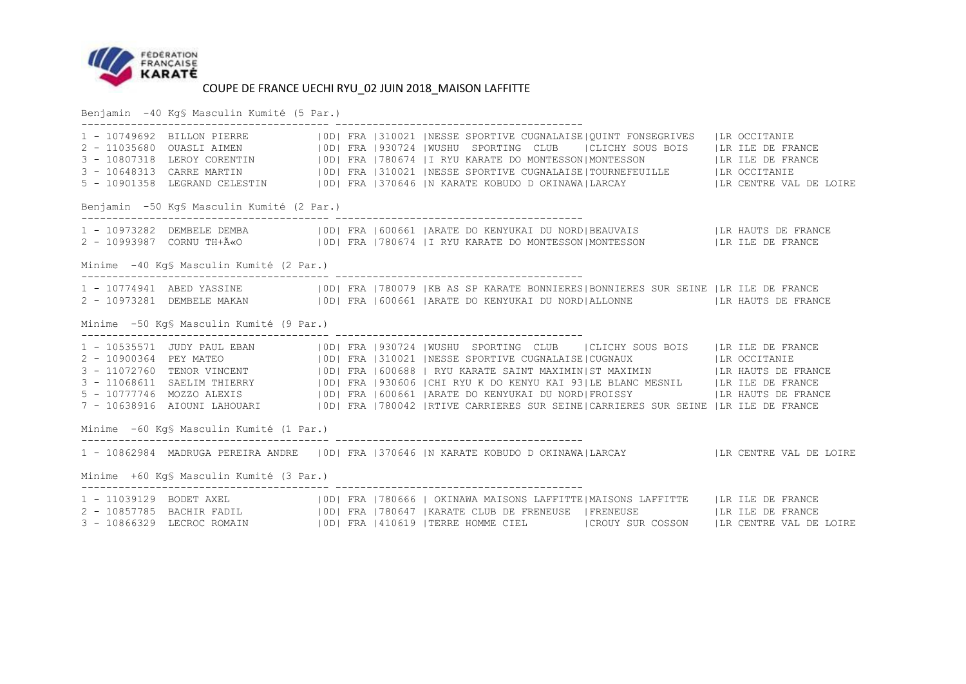

Benjamin -40 Kg§ Masculin Kumité (5 Par.)

|                                            |                                          |  |  |  | 1 - 10749092<br>2 - 11035680 OUASLI AIMEN (OD) FRA 1930724 WUSHU SPORTING CLUB (CLICHY SOUS BOIS   LR ILE DE FRANCE<br>3 - 10807318 LEROY CORENTIN   0D  FRA   780674   I RYU KARATE DO MONTESSON   MONTESSON   LA ILE DE FRANCE<br>3 - 10648313 CARRE MARTIN (IDI FRA 1310021   NESSE SPORTIVE CUGNALAISE   TOURNEFEUILLE   LR OCCITANIE<br>5 - 10901358 LEGRAND CELESTIN   OD  FRA   370646   N KARATE KOBUDO D OKINAWA   LARCAY   LA CENTRE VAL DE LOIRE      |  |  |  |  |  |  |  |
|--------------------------------------------|------------------------------------------|--|--|--|------------------------------------------------------------------------------------------------------------------------------------------------------------------------------------------------------------------------------------------------------------------------------------------------------------------------------------------------------------------------------------------------------------------------------------------------------------------|--|--|--|--|--|--|--|
| Benjamin -50 Kg\$ Masculin Kumité (2 Par.) |                                          |  |  |  |                                                                                                                                                                                                                                                                                                                                                                                                                                                                  |  |  |  |  |  |  |  |
|                                            |                                          |  |  |  | 1 - 10973282 DEMBELE DEMBA (ODI FRA 1600661  ARATE DO KENYUKAI DU NORD BEAUVAIS   LR HAUTS DE FRANCE<br>2 - 10993987 CORNU TH+ëO   ODI FRA 1780674  I RYU KARATE DO MONTESSON MONTESSON   LR ILE DE FRANCE                                                                                                                                                                                                                                                       |  |  |  |  |  |  |  |
|                                            | Minime -40 Kg§ Masculin Kumité (2 Par.)  |  |  |  |                                                                                                                                                                                                                                                                                                                                                                                                                                                                  |  |  |  |  |  |  |  |
|                                            |                                          |  |  |  | 1 - 10774941 ABED YASSINE (IDI FRA 1780079   KB AS SP KARATE BONNIERES   BONNIERES SUR SEINE   LR ILE DE FRANCE<br>2 - 10973281 DEMBELE MAKAN   0D  FRA   600661   ARATE DO KENYUKAI DU NORD   ALLONNE   LA HAUTS DE FRANCE                                                                                                                                                                                                                                      |  |  |  |  |  |  |  |
|                                            | Minime -50 KgS Masculin Kumité (9 Par.)  |  |  |  |                                                                                                                                                                                                                                                                                                                                                                                                                                                                  |  |  |  |  |  |  |  |
|                                            |                                          |  |  |  | 1 - 10535571 JUDY PAUL EBAN   10D  FRA 1930724  WUSHU SPORTING CLUB   CLICHY SOUS BOIS   LR ILE DE FRANCE<br>2 - 10900364 PEY MATEO   10D  FRA 1310021  NESSE SPORTIVE CUGNALAISE CUGNAUX   LR OCCITANIE<br>3 - 11072760 TENOR VINCE<br>3 - 11068611 SAELIM THIERRY   0D   FRA   930606   CHI RYU K DO KENYU KAI 93   LE BLANC MESNIL   LA ILE DE FRANCE<br>5 - 10777746 MOZZO ALEXIS (IDI FRA 1600661   ARATE DO KENYUKAI DU NORD  FROISSY   LA HAUTS DE FRANCE |  |  |  |  |  |  |  |
|                                            | Minime -60 Kg§ Masculin Kumité (1 Par.)  |  |  |  |                                                                                                                                                                                                                                                                                                                                                                                                                                                                  |  |  |  |  |  |  |  |
|                                            | Minime +60 Kg\$ Masculin Kumité (3 Par.) |  |  |  | 1 - 10862984 MADRUGA PEREIRA ANDRE   OD  FRA   370646   N KARATE KOBUDO D OKINAWA  LARCAY     LR CENTRE VAL DE LOIRE                                                                                                                                                                                                                                                                                                                                             |  |  |  |  |  |  |  |
|                                            |                                          |  |  |  |                                                                                                                                                                                                                                                                                                                                                                                                                                                                  |  |  |  |  |  |  |  |
|                                            |                                          |  |  |  | 1 - 11039129 BODET AXEL (IDI FRA   780666   OKINAWA MAISONS LAFFITTE   MAISONS LAFFITTE   LR ILE DE FRANCE<br>2 - 10857785 BACHIR FADIL (IDI FRA 1780647   KARATE CLUB DE FRENEUSE   FRENEUSE   ILR ILE DE FRANCE<br>3 - 10866329 LECROC ROMAIN   0D  FRA   410619   TERRE HOMME CIEL   CROUY SUR COSSON   LR CENTRE VAL DE LOIRE                                                                                                                                |  |  |  |  |  |  |  |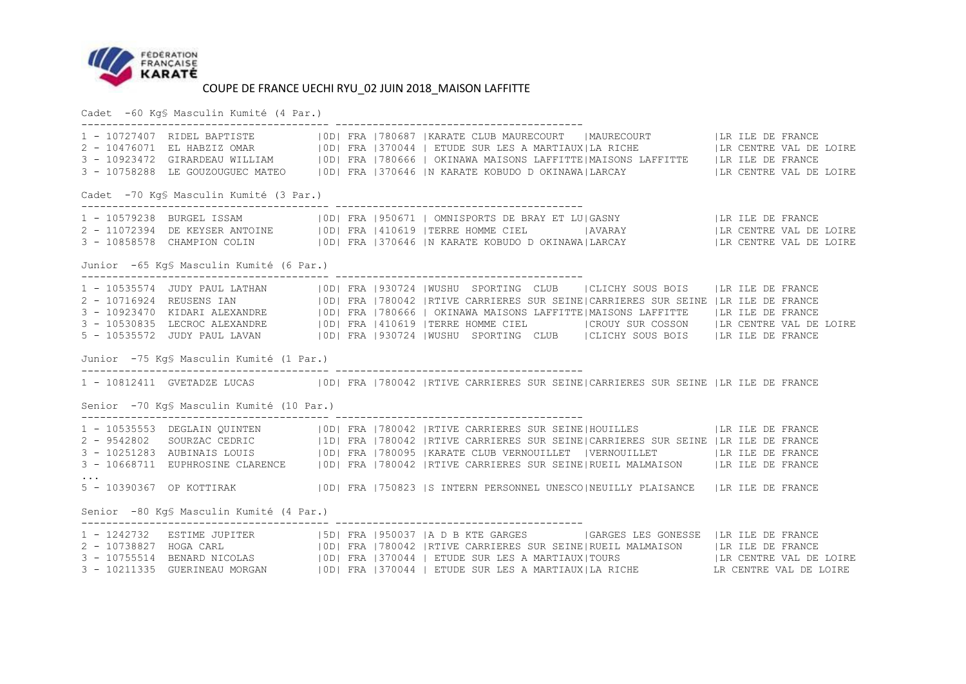

Cadet -60 Kg§ Masculin Kumité (4 Par.)

|                                          |                                          |  |  |  | 1 - 10727407 RIDEL BAPTISTE    OD  FRA  780687  KARATE CLUB MAURECOURT    MAURECOURT    LR ILE DE FRANCE<br>2 - 10476071 EL HABZIZ OMAR    OD  FRA  370044   ETUDE SUR LES A MARTIAUX LA RICHE    LR CENTRE VAL DE LOIRE<br>3 - 1092                                                                                                                                                                                                                                                                                                                                            |  |  |  |  |  |
|------------------------------------------|------------------------------------------|--|--|--|---------------------------------------------------------------------------------------------------------------------------------------------------------------------------------------------------------------------------------------------------------------------------------------------------------------------------------------------------------------------------------------------------------------------------------------------------------------------------------------------------------------------------------------------------------------------------------|--|--|--|--|--|
| Cadet -70 Kg§ Masculin Kumité (3 Par.)   |                                          |  |  |  |                                                                                                                                                                                                                                                                                                                                                                                                                                                                                                                                                                                 |  |  |  |  |  |
|                                          |                                          |  |  |  | 1 - 10579238 BURGEL ISSAM (IOD) FRA   950671   OMNISPORTS DE BRAY ET LU   GASNY   LR ILE DE FRANCE<br>2 - 11072394 DE KEYSER ANTOINE   OD  FRA   410619   TERRE HOMME CIEL     AVARAY     LIR CENTRE VAL DE LOIRE<br>3 - 10858578 CHAMPION COLIN   OD  FRA   370646   N KARATE KOBUDO D OKINAWA LARCAY     LR CENTRE VAL DE LOIRE                                                                                                                                                                                                                                               |  |  |  |  |  |
| Junior -65 Kg§ Masculin Kumité (6 Par.)  |                                          |  |  |  |                                                                                                                                                                                                                                                                                                                                                                                                                                                                                                                                                                                 |  |  |  |  |  |
|                                          |                                          |  |  |  | 1 - 10535574 JUDY PAUL LATHAN     0D  FRA   930724   WUSHU SPORTING CLUB   CLICHY SOUS BOIS   LR ILE DE FRANCE<br>2 - 10716924 REUSENS IAN (1980)   198042   RTIVE CARRIERES SUR SEINE  CARRIERES SUR SEINE   LA LE DE FRANCE<br>3 - 10923470 KIDARI ALEXANDRE (1980)   198066   OKINAWA MAISONS LAFFITTE  MAISONS LAFFITTE (IR ILE DE FRANCE<br>3 - 10530835 LECROC ALEXANDRE   OD  FRA   410619   TERRE HOMME CIEL   CROUY SUR COSSON   LR CENTRE VAL DE LOIRE<br>5 - 10535572 JUDY PAUL LAVAN   0D  FRA   930724   WUSHU SPORTING CLUB   CLICHY SOUS BOIS   LR ILE DE FRANCE |  |  |  |  |  |
|                                          | Junior -75 Kq\$ Masculin Kumité (1 Par.) |  |  |  |                                                                                                                                                                                                                                                                                                                                                                                                                                                                                                                                                                                 |  |  |  |  |  |
|                                          |                                          |  |  |  | 1 - 10812411 GVETADZE LUCAS   0D   FRA   780042   RTIVE CARRIERES SUR SEINE   CARRIERES SUR SEINE   LR ILE DE FRANCE                                                                                                                                                                                                                                                                                                                                                                                                                                                            |  |  |  |  |  |
|                                          | Senior -70 Kg§ Masculin Kumité (10 Par.) |  |  |  |                                                                                                                                                                                                                                                                                                                                                                                                                                                                                                                                                                                 |  |  |  |  |  |
|                                          |                                          |  |  |  | 1 - 10535553 DEGLAIN QUINTEN   0D  FRA   780042   RTIVE CARRIERES SUR SEINE   HOUILLES     LR ILE DE FRANCE<br>2 - 9542802 SOURZAC CEDRIC   1D  FRA   780042   RTIVE CARRIERES SUR SEINE  CARRIERES SUR SEINE   LR ILE DE FRANCE<br>3 - 10668711 EUPHROSINE CLARENCE   OD  FRA   780042   RTIVE CARRIERES SUR SEINE   RUEIL MALMAISON   LR ILE DE FRANCE                                                                                                                                                                                                                        |  |  |  |  |  |
| Senior -80 Kg\$ Masculin Kumité (4 Par.) |                                          |  |  |  |                                                                                                                                                                                                                                                                                                                                                                                                                                                                                                                                                                                 |  |  |  |  |  |
|                                          |                                          |  |  |  | 1 - 1242732 ESTIME JUPITER (1950)   FRA 1950037   ADBKTE GARGES (168 FONESSE   LRILE DE FRANCE 2 - 10738827 HOGA CARL (100)   FRA 1780042   RTIVE CARRIERES SUR SEINE   RUEIL MALMAISON (168 FRANCE 2 - 10738827 HOGA CARL (10                                                                                                                                                                                                                                                                                                                                                  |  |  |  |  |  |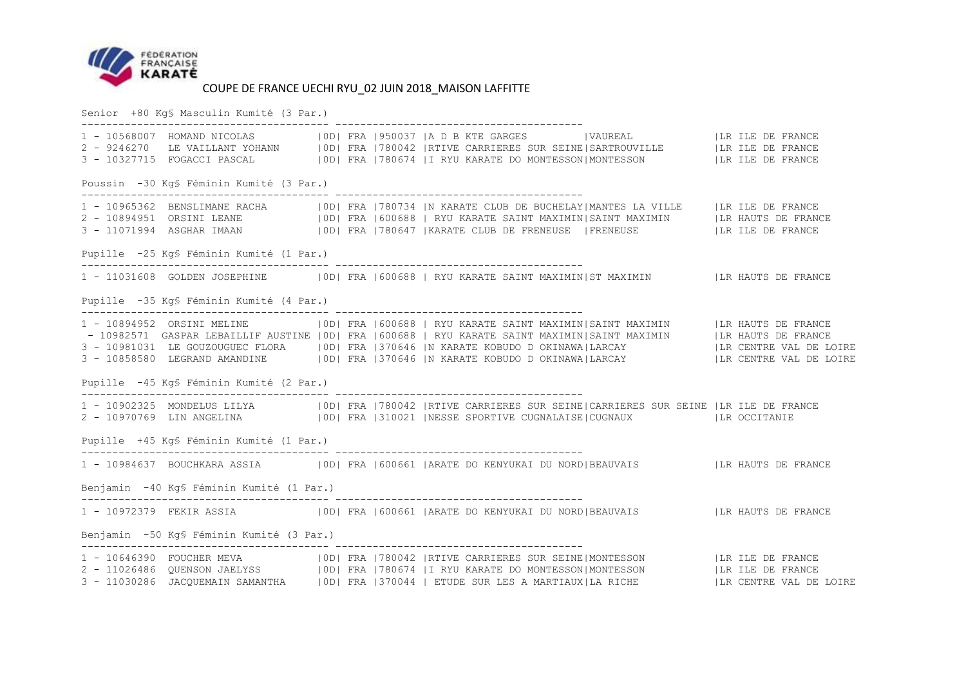

Senior +80 Kg§ Masculin Kumité (3 Par.)

|                                           |  | 1 - 10568007 HOMAND NICOLAS (OD) FRA (950037  A D B KTE GARGES (VAUREAL   LR ILE DE FRANCE<br>2 - 9246270 LE VAILLANT YOHANN   OD  FRA   780042   RTIVE CARRIERES SUR SEINE  SARTROUVILLE   LA ILE DE FRANCE<br>3 - 10327715 FOGACCI PASCAL   0D  FRA   780674   I RYU KARATE DO MONTESSON   MONTESSON     LR ILE DE FRANCE                                                                                                                                                       |  |  |
|-------------------------------------------|--|-----------------------------------------------------------------------------------------------------------------------------------------------------------------------------------------------------------------------------------------------------------------------------------------------------------------------------------------------------------------------------------------------------------------------------------------------------------------------------------|--|--|
| Poussin -30 Kg§ Féminin Kumité (3 Par.)   |  |                                                                                                                                                                                                                                                                                                                                                                                                                                                                                   |  |  |
|                                           |  | 2 - 10894951 ORSINI LEANE (00 FRA 600688   RYU KARATE SAINT MAXIMIN SAINT MAXIMIN   LR HAUTS DE FRANCE<br>3 - 11071994 ASGHAR IMAAN   0D  FRA   780647   KARATE CLUB DE FRENEUSE   FRENEUSE   LR ILE DE FRANCE                                                                                                                                                                                                                                                                    |  |  |
| Pupille -25 Kg\$ Féminin Kumité (1 Par.)  |  |                                                                                                                                                                                                                                                                                                                                                                                                                                                                                   |  |  |
|                                           |  | 1 - 11031608 GOLDEN JOSEPHINE   0D  FRA   600688   RYU KARATE SAINT MAXIMIN  ST MAXIMIN   LR HAUTS DE FRANCE                                                                                                                                                                                                                                                                                                                                                                      |  |  |
| Pupille -35 Kg\$ Féminin Kumité (4 Par.)  |  |                                                                                                                                                                                                                                                                                                                                                                                                                                                                                   |  |  |
|                                           |  | 1 - 10894952 ORSINI MELINE   0D  FRA   600688   RYU KARATE SAINT MAXIMIN   SAINT MAXIMIN   LR HAUTS DE FRANCE<br>- 10982571 GASPAR LEBAILLIF AUSTINE   OD  FRA   600688   RYU KARATE SAINT MAXIMIN SAINT MAXIMIN   LA HAUTS DE FRANCE<br>3 - 10981031 LE GOUZOUGUEC FLORA     0D   FRA   370646   N KARATE KOBUDO D OKINAWA   LARCAY     LA CENTRE VAL DE LOIRE<br>3 - 10858580 LEGRAND AMANDINE   0D  FRA   370646   N KARATE KOBUDO D OKINAWA LARCAY     LR CENTRE VAL DE LOIRE |  |  |
| Pupille -45 Kg\$ Féminin Kumité (2 Par.)  |  |                                                                                                                                                                                                                                                                                                                                                                                                                                                                                   |  |  |
|                                           |  | 1 - 10902325 MONDELUS LILYA   0D  FRA   780042   RTIVE CARRIERES SUR SEINE  CARRIERES SUR SEINE   LR ILE DE FRANCE<br>2 - 10970769 LIN ANGELINA (100) FRA 310021 NESSE SPORTIVE CUGNALAISE CUGNAUX (LR OCCITANIE                                                                                                                                                                                                                                                                  |  |  |
| Pupille +45 Kq\$ Féminin Kumité (1 Par.)  |  |                                                                                                                                                                                                                                                                                                                                                                                                                                                                                   |  |  |
|                                           |  |                                                                                                                                                                                                                                                                                                                                                                                                                                                                                   |  |  |
| Benjamin -40 Kg§ Féminin Kumité (1 Par.)  |  |                                                                                                                                                                                                                                                                                                                                                                                                                                                                                   |  |  |
|                                           |  | 1 - 10972379 FEKIR ASSIA (IDI FRA 600661   ARATE DO KENYUKAI DU NORD   BEAUVAIS   LA HAUTS DE FRANCE                                                                                                                                                                                                                                                                                                                                                                              |  |  |
| Benjamin -50 Kq\$ Féminin Kumité (3 Par.) |  |                                                                                                                                                                                                                                                                                                                                                                                                                                                                                   |  |  |
|                                           |  | 1 - 10646390 FOUCHER MEVA (1990) FRA 1780042  RTIVE CARRIERES SUR SEINE MONTESSON (ILR ILE DE FRANCE)<br>2 - 11026486 QUENSON JAELYSS (1991 FRA 1780674  I RYU KARATE DO MONTESSON MONTESSON (ILR ILE DE FRANCE)<br>2 - 11030286 JAC                                                                                                                                                                                                                                              |  |  |